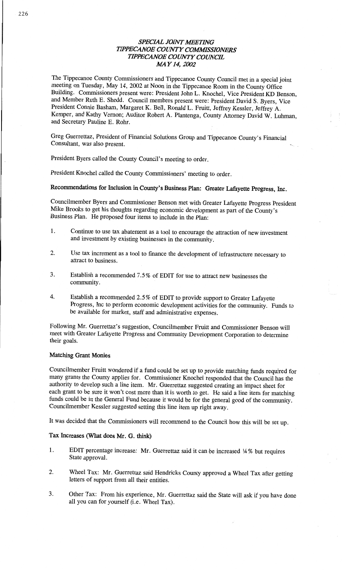# **SPECIAL JOINT MEETING TIPPECANOE COUNTY COMMISSIONERS** *TIPPECANOE COUNTY COUNCIL* MAY 14, 2002

The Tippecanoe County Commissioners and Tippecanoe County Council met in a special joint<br>meeting on Tuesday, May 14, 2002 at Noon in the Tippecanoe Room in the County Office<br>Building. Commissioners present were: President President **Connie** Basham, Margaret K. **Bell, Ronald** L. Fruitt, Jeffrey Kessler, Jeffrey A. . Kemper, and Kathy Vernon; Auditor Robert A. **Plantenga,** County Attorney **David** W. **Luhman,** *5* and Secretary **Pauline** E. Rohr. *'* 

Greg Guerrettaz, President of Financial **Solutions** Group and **Tippecanoe County's Financial** Consultant, was also present.

President Byers called the County Council's meeting to **order.** 

President Knochel called the County Commissioners' meeting to order.

**Recommendations** for **Inclusion** in **County's** Business **Plan: Greater Lafayette Progress, Inc.** 

Councilmember Byers and **Commissioner** Benson met with Greater Lafayette Progress President Mike Brooks to get his thoughts regarding economic development as part of the County's Business Plan. He **proposed** four items to include in the Plan:

- 1. **Continue** to use tax abatement as **a** tool to encourage the **attraction** of new **investment**  and investment by existing businesses in the community.
- 2. Use tax increment as **<sup>a</sup>**tool to **finance** the development of **infrastructure** necessary to attract to business.
- 3. **Establish a recommended** 7.5% of EDIT for use to attract new **businesses** the community.
- 4. Establish a recommended **2.5%** of EDIT to provide **support** to Greater Lafayette Progress, Inc to perform economic development activities for the community. Funds to be available for market, staff and administrative expenses.

Following Mr. Guerrettaz's suggestion, Councilmember Fruitt and **Commissioner Benson** will meet with Greater Lafayette **Progress** and Community Development Corporation to **determine their goals. The strategies of**  $\mathbf{r}$  **<b>their** goals.

#### **Matching Grant Monies**

Councilmember Fruitt wondered if **a** fund **could** be set up to **provide** matching **funds** required for many grants the County applies for. Commissioner Knochel responded that the Council has the authority to develop such **a** line **item.** Mr. Guerrettaz suggested creating an impact sheet for funds could be in the General Fund because it would be for the general good of the community. Councilmember Kessler suggested setting this line item up right away.

It was decided **that** the **Commissioners** will **recommend** to the Council how this **will** be set up.

### Tax **Increases** (What **does** Mr. G. **think)**

- 1. EDIT percentage increase: Mr. Guerrettaz **said** it can be increased 1A % but requires State approval.
- 2. Wheel **Tax:** Mr. Guerrettaz said **Hendricks** County approved a Wheel Tax after getting letters of support from all **their** entities.
- 3. Other Tax: **From** his experience, Mr. Guerrettaz **said** the State will ask if you have **done**  all you can for yourself (i.e. Wheel **Tax).**